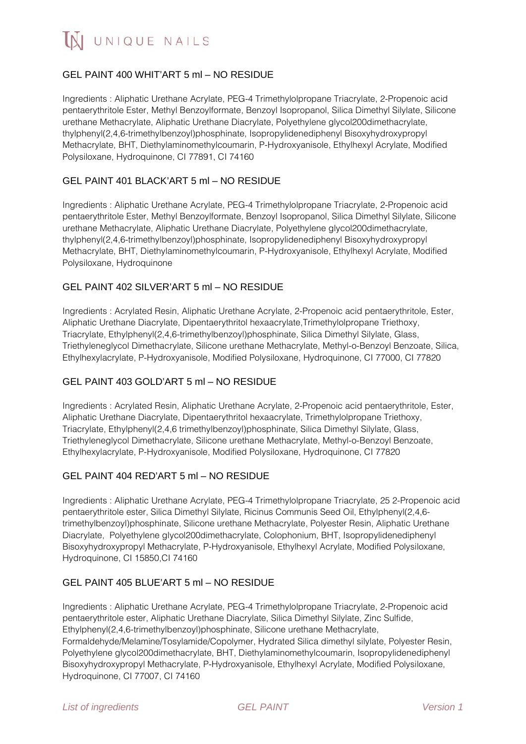IN UNIQUE NAILS

# GEL PAINT 400 WHIT'ART 5 ml – NO RESIDUE

Ingredients : Aliphatic Urethane Acrylate, PEG-4 Trimethylolpropane Triacrylate, 2-Propenoic acid pentaerythritole Ester, Methyl Benzoylformate, Benzoyl Isopropanol, Silica Dimethyl Silylate, Silicone urethane Methacrylate, Aliphatic Urethane Diacrylate, Polyethylene glycol200dimethacrylate, thylphenyl(2,4,6-trimethylbenzoyl)phosphinate, Isopropylidenediphenyl Bisoxyhydroxypropyl Methacrylate, BHT, Diethylaminomethylcoumarin, P-Hydroxyanisole, Ethylhexyl Acrylate, Modified Polysiloxane, Hydroquinone, CI 77891, CI 74160

## GEL PAINT 401 BLACK'ART 5 ml – NO RESIDUE

Ingredients : Aliphatic Urethane Acrylate, PEG-4 Trimethylolpropane Triacrylate, 2-Propenoic acid pentaerythritole Ester, Methyl Benzoylformate, Benzoyl Isopropanol, Silica Dimethyl Silylate, Silicone urethane Methacrylate, Aliphatic Urethane Diacrylate, Polyethylene glycol200dimethacrylate, thylphenyl(2,4,6-trimethylbenzoyl)phosphinate, Isopropylidenediphenyl Bisoxyhydroxypropyl Methacrylate, BHT, Diethylaminomethylcoumarin, P-Hydroxyanisole, Ethylhexyl Acrylate, Modified Polysiloxane, Hydroquinone

## GEL PAINT 402 SILVER'ART 5 ml – NO RESIDUE

Ingredients : Acrylated Resin, Aliphatic Urethane Acrylate, 2-Propenoic acid pentaerythritole, Ester, Aliphatic Urethane Diacrylate, Dipentaerythritol hexaacrylate,Trimethylolpropane Triethoxy, Triacrylate, Ethylphenyl(2,4,6-trimethylbenzoyl)phosphinate, Silica Dimethyl Silylate, Glass, Triethyleneglycol Dimethacrylate, Silicone urethane Methacrylate, Methyl-o-Benzoyl Benzoate, Silica, Ethylhexylacrylate, P-Hydroxyanisole, Modified Polysiloxane, Hydroquinone, CI 77000, CI 77820

### GEL PAINT 403 GOLD'ART 5 ml – NO RESIDUE

Ingredients : Acrylated Resin, Aliphatic Urethane Acrylate, 2-Propenoic acid pentaerythritole, Ester, Aliphatic Urethane Diacrylate, Dipentaerythritol hexaacrylate, Trimethylolpropane Triethoxy, Triacrylate, Ethylphenyl(2,4,6 trimethylbenzoyl)phosphinate, Silica Dimethyl Silylate, Glass, Triethyleneglycol Dimethacrylate, Silicone urethane Methacrylate, Methyl-o-Benzoyl Benzoate, Ethylhexylacrylate, P-Hydroxyanisole, Modified Polysiloxane, Hydroquinone, CI 77820

### GEL PAINT 404 RED'ART 5 ml – NO RESIDUE

Ingredients : Aliphatic Urethane Acrylate, PEG-4 Trimethylolpropane Triacrylate, 25 2-Propenoic acid pentaerythritole ester, Silica Dimethyl Silylate, Ricinus Communis Seed Oil, Ethylphenyl(2,4,6 trimethylbenzoyl)phosphinate, Silicone urethane Methacrylate, Polyester Resin, Aliphatic Urethane Diacrylate, Polyethylene glycol200dimethacrylate, Colophonium, BHT, Isopropylidenediphenyl Bisoxyhydroxypropyl Methacrylate, P-Hydroxyanisole, Ethylhexyl Acrylate, Modified Polysiloxane, Hydroquinone, CI 15850,CI 74160

### GEL PAINT 405 BLUE'ART 5 ml – NO RESIDUE

Ingredients : Aliphatic Urethane Acrylate, PEG-4 Trimethylolpropane Triacrylate, 2-Propenoic acid pentaerythritole ester, Aliphatic Urethane Diacrylate, Silica Dimethyl Silylate, Zinc Sulfide, Ethylphenyl(2,4,6-trimethylbenzoyl)phosphinate, Silicone urethane Methacrylate, Formaldehyde/Melamine/Tosylamide/Copolymer, Hydrated Silica dimethyl silylate, Polyester Resin, Polyethylene glycol200dimethacrylate, BHT, Diethylaminomethylcoumarin, Isopropylidenediphenyl Bisoxyhydroxypropyl Methacrylate, P-Hydroxyanisole, Ethylhexyl Acrylate, Modified Polysiloxane, Hydroquinone, CI 77007, CI 74160